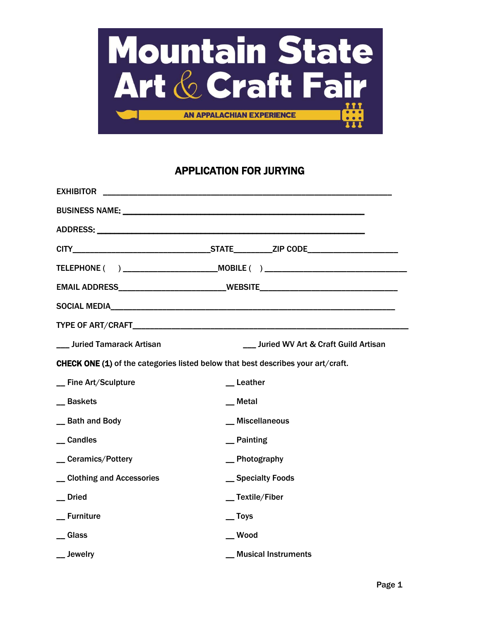

# APPLICATION FOR JURYING

|                                    | EMAIL ADDRESS___________________________WEBSITE_________________________________        |
|------------------------------------|-----------------------------------------------------------------------------------------|
|                                    | SOCIAL MEDIA NEWSFILM AND SOCIAL MEDIA                                                  |
|                                    |                                                                                         |
| <b>___ Juried Tamarack Artisan</b> | Juried WV Art & Craft Guild Artisan                                                     |
|                                    | <b>CHECK ONE (1)</b> of the categories listed below that best describes your art/craft. |
| _ Fine Art/Sculpture               | _Leather                                                                                |
| _Baskets                           | __ Metal                                                                                |
| _ Bath and Body                    | _ Miscellaneous                                                                         |
| _Candles                           | $\equiv$ Painting                                                                       |
| _ Ceramics/Pottery                 | _ Photography                                                                           |
| _ Clothing and Accessories         | _ Specialty Foods                                                                       |
| __ Dried                           | _Textile/Fiber                                                                          |
| _ Furniture                        | $\equiv$ Toys                                                                           |
| <b>Glass</b>                       | $\_\_$ Wood                                                                             |
| Jewelry                            | <b>Musical Instruments</b>                                                              |